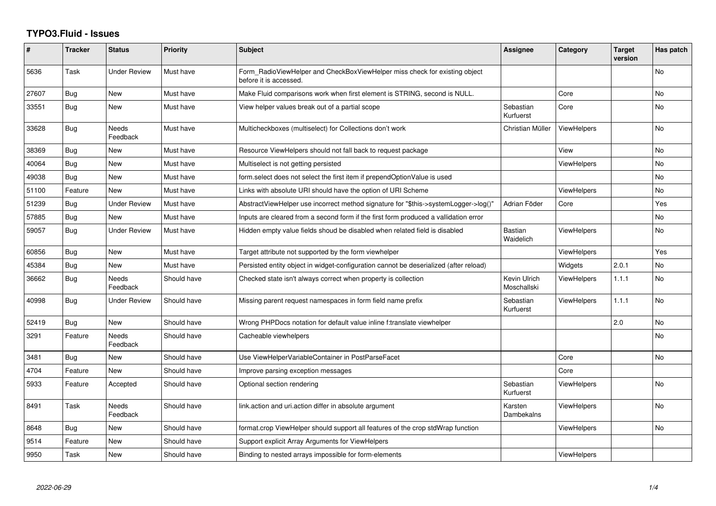## **TYPO3.Fluid - Issues**

| #     | <b>Tracker</b> | <b>Status</b>       | <b>Priority</b> | <b>Subject</b>                                                                                       | Assignee                    | Category           | <b>Target</b><br>version | Has patch      |
|-------|----------------|---------------------|-----------------|------------------------------------------------------------------------------------------------------|-----------------------------|--------------------|--------------------------|----------------|
| 5636  | Task           | <b>Under Review</b> | Must have       | Form RadioViewHelper and CheckBoxViewHelper miss check for existing object<br>before it is accessed. |                             |                    |                          | <b>No</b>      |
| 27607 | Bug            | New                 | Must have       | Make Fluid comparisons work when first element is STRING, second is NULL.                            |                             | Core               |                          | No             |
| 33551 | Bug            | New                 | Must have       | View helper values break out of a partial scope                                                      | Sebastian<br>Kurfuerst      | Core               |                          | <b>No</b>      |
| 33628 | Bug            | Needs<br>Feedback   | Must have       | Multicheckboxes (multiselect) for Collections don't work                                             | Christian Müller            | ViewHelpers        |                          | N <sub>o</sub> |
| 38369 | Bug            | New                 | Must have       | Resource ViewHelpers should not fall back to request package                                         |                             | View               |                          | <b>No</b>      |
| 40064 | Bug            | New                 | Must have       | Multiselect is not getting persisted                                                                 |                             | <b>ViewHelpers</b> |                          | <b>No</b>      |
| 49038 | Bug            | <b>New</b>          | Must have       | form.select does not select the first item if prependOptionValue is used                             |                             |                    |                          | <b>No</b>      |
| 51100 | Feature        | New                 | Must have       | Links with absolute URI should have the option of URI Scheme                                         |                             | <b>ViewHelpers</b> |                          | No             |
| 51239 | Bug            | Under Review        | Must have       | AbstractViewHelper use incorrect method signature for "\$this->systemLogger->log()"                  | Adrian Föder                | Core               |                          | Yes            |
| 57885 | <b>Bug</b>     | New                 | Must have       | Inputs are cleared from a second form if the first form produced a vallidation error                 |                             |                    |                          | No             |
| 59057 | Bug            | Under Review        | Must have       | Hidden empty value fields shoud be disabled when related field is disabled                           | Bastian<br>Waidelich        | <b>ViewHelpers</b> |                          | <b>No</b>      |
| 60856 | <b>Bug</b>     | New                 | Must have       | Target attribute not supported by the form viewhelper                                                |                             | ViewHelpers        |                          | Yes            |
| 45384 | Bug            | New                 | Must have       | Persisted entity object in widget-configuration cannot be deserialized (after reload)                |                             | Widgets            | 2.0.1                    | No             |
| 36662 | Bug            | Needs<br>Feedback   | Should have     | Checked state isn't always correct when property is collection                                       | Kevin Ulrich<br>Moschallski | ViewHelpers        | 1.1.1                    | <b>No</b>      |
| 40998 | Bug            | <b>Under Review</b> | Should have     | Missing parent request namespaces in form field name prefix                                          | Sebastian<br>Kurfuerst      | <b>ViewHelpers</b> | 1.1.1                    | No             |
| 52419 | Bug            | New                 | Should have     | Wrong PHPDocs notation for default value inline f:translate viewhelper                               |                             |                    | 2.0                      | <b>No</b>      |
| 3291  | Feature        | Needs<br>Feedback   | Should have     | Cacheable viewhelpers                                                                                |                             |                    |                          | No.            |
| 3481  | <b>Bug</b>     | New                 | Should have     | Use ViewHelperVariableContainer in PostParseFacet                                                    |                             | Core               |                          | <b>No</b>      |
| 4704  | Feature        | <b>New</b>          | Should have     | Improve parsing exception messages                                                                   |                             | Core               |                          |                |
| 5933  | Feature        | Accepted            | Should have     | Optional section rendering                                                                           | Sebastian<br>Kurfuerst      | <b>ViewHelpers</b> |                          | <b>No</b>      |
| 8491  | Task           | Needs<br>Feedback   | Should have     | link.action and uri.action differ in absolute argument                                               | Karsten<br>Dambekalns       | <b>ViewHelpers</b> |                          | <b>No</b>      |
| 8648  | Bug            | <b>New</b>          | Should have     | format.crop ViewHelper should support all features of the crop stdWrap function                      |                             | <b>ViewHelpers</b> |                          | <b>No</b>      |
| 9514  | Feature        | New                 | Should have     | Support explicit Array Arguments for ViewHelpers                                                     |                             |                    |                          |                |
| 9950  | Task           | New                 | Should have     | Binding to nested arrays impossible for form-elements                                                |                             | <b>ViewHelpers</b> |                          |                |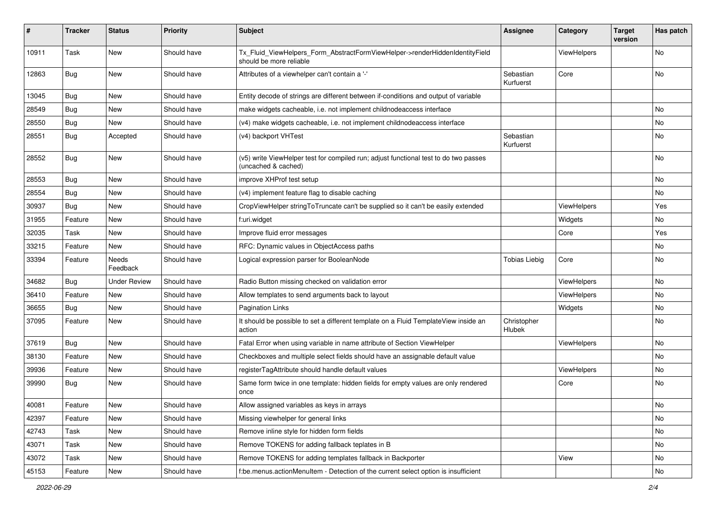| ∦     | <b>Tracker</b> | <b>Status</b>       | <b>Priority</b> | <b>Subject</b>                                                                                              | <b>Assignee</b>        | Category    | <b>Target</b><br>version | Has patch |
|-------|----------------|---------------------|-----------------|-------------------------------------------------------------------------------------------------------------|------------------------|-------------|--------------------------|-----------|
| 10911 | Task           | New                 | Should have     | Tx_Fluid_ViewHelpers_Form_AbstractFormViewHelper->renderHiddenIdentityField<br>should be more reliable      |                        | ViewHelpers |                          | No        |
| 12863 | Bug            | New                 | Should have     | Attributes of a viewhelper can't contain a '-'                                                              | Sebastian<br>Kurfuerst | Core        |                          | No        |
| 13045 | <b>Bug</b>     | New                 | Should have     | Entity decode of strings are different between if-conditions and output of variable                         |                        |             |                          |           |
| 28549 | Bug            | New                 | Should have     | make widgets cacheable, i.e. not implement childnodeaccess interface                                        |                        |             |                          | No        |
| 28550 | Bug            | New                 | Should have     | (v4) make widgets cacheable, i.e. not implement childnodeaccess interface                                   |                        |             |                          | No        |
| 28551 | Bug            | Accepted            | Should have     | (v4) backport VHTest                                                                                        | Sebastian<br>Kurfuerst |             |                          | No        |
| 28552 | Bug            | New                 | Should have     | (v5) write ViewHelper test for compiled run; adjust functional test to do two passes<br>(uncached & cached) |                        |             |                          | No        |
| 28553 | Bug            | New                 | Should have     | improve XHProf test setup                                                                                   |                        |             |                          | No        |
| 28554 | Bug            | New                 | Should have     | (v4) implement feature flag to disable caching                                                              |                        |             |                          | No.       |
| 30937 | Bug            | New                 | Should have     | CropViewHelper stringToTruncate can't be supplied so it can't be easily extended                            |                        | ViewHelpers |                          | Yes       |
| 31955 | Feature        | New                 | Should have     | f:uri.widget                                                                                                |                        | Widgets     |                          | No        |
| 32035 | Task           | New                 | Should have     | Improve fluid error messages                                                                                |                        | Core        |                          | Yes       |
| 33215 | Feature        | New                 | Should have     | RFC: Dynamic values in ObjectAccess paths                                                                   |                        |             |                          | No        |
| 33394 | Feature        | Needs<br>Feedback   | Should have     | Logical expression parser for BooleanNode                                                                   | <b>Tobias Liebig</b>   | Core        |                          | No        |
| 34682 | Bug            | <b>Under Review</b> | Should have     | Radio Button missing checked on validation error                                                            |                        | ViewHelpers |                          | No        |
| 36410 | Feature        | New                 | Should have     | Allow templates to send arguments back to layout                                                            |                        | ViewHelpers |                          | No        |
| 36655 | Bug            | New                 | Should have     | <b>Pagination Links</b>                                                                                     |                        | Widgets     |                          | No        |
| 37095 | Feature        | New                 | Should have     | It should be possible to set a different template on a Fluid TemplateView inside an<br>action               | Christopher<br>Hlubek  |             |                          | No        |
| 37619 | Bug            | New                 | Should have     | Fatal Error when using variable in name attribute of Section ViewHelper                                     |                        | ViewHelpers |                          | No        |
| 38130 | Feature        | New                 | Should have     | Checkboxes and multiple select fields should have an assignable default value                               |                        |             |                          | No        |
| 39936 | Feature        | New                 | Should have     | registerTagAttribute should handle default values                                                           |                        | ViewHelpers |                          | No        |
| 39990 | <b>Bug</b>     | New                 | Should have     | Same form twice in one template: hidden fields for empty values are only rendered<br>once                   |                        | Core        |                          | No        |
| 40081 | Feature        | New                 | Should have     | Allow assigned variables as keys in arrays                                                                  |                        |             |                          | No        |
| 42397 | Feature        | New                 | Should have     | Missing viewhelper for general links                                                                        |                        |             |                          | No        |
| 42743 | Task           | New                 | Should have     | Remove inline style for hidden form fields                                                                  |                        |             |                          | No        |
| 43071 | Task           | New                 | Should have     | Remove TOKENS for adding fallback teplates in B                                                             |                        |             |                          | No        |
| 43072 | Task           | New                 | Should have     | Remove TOKENS for adding templates fallback in Backporter                                                   |                        | View        |                          | No        |
| 45153 | Feature        | New                 | Should have     | f:be.menus.actionMenuItem - Detection of the current select option is insufficient                          |                        |             |                          | No        |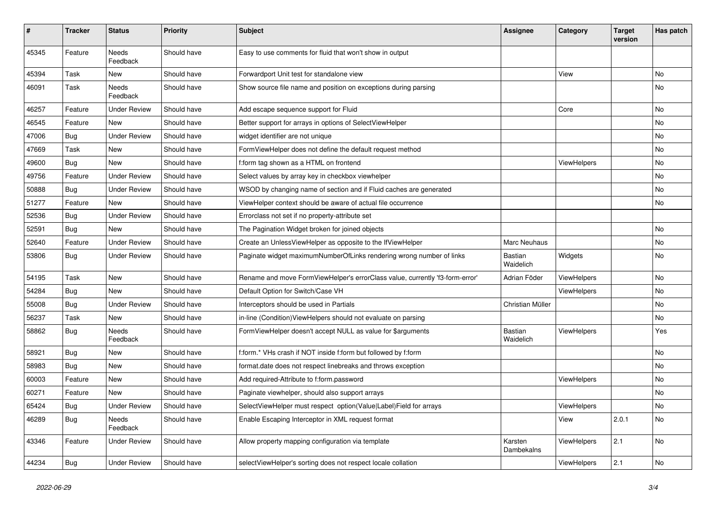| $\pmb{\#}$ | <b>Tracker</b> | <b>Status</b>            | <b>Priority</b> | <b>Subject</b>                                                               | <b>Assignee</b>       | Category    | <b>Target</b><br>version | Has patch     |
|------------|----------------|--------------------------|-----------------|------------------------------------------------------------------------------|-----------------------|-------------|--------------------------|---------------|
| 45345      | Feature        | <b>Needs</b><br>Feedback | Should have     | Easy to use comments for fluid that won't show in output                     |                       |             |                          |               |
| 45394      | Task           | New                      | Should have     | Forwardport Unit test for standalone view                                    |                       | View        |                          | No            |
| 46091      | Task           | Needs<br>Feedback        | Should have     | Show source file name and position on exceptions during parsing              |                       |             |                          | No            |
| 46257      | Feature        | <b>Under Review</b>      | Should have     | Add escape sequence support for Fluid                                        |                       | Core        |                          | No.           |
| 46545      | Feature        | New                      | Should have     | Better support for arrays in options of SelectViewHelper                     |                       |             |                          | No            |
| 47006      | Bug            | <b>Under Review</b>      | Should have     | widget identifier are not unique                                             |                       |             |                          | No            |
| 47669      | Task           | New                      | Should have     | FormViewHelper does not define the default request method                    |                       |             |                          | No            |
| 49600      | <b>Bug</b>     | New                      | Should have     | f:form tag shown as a HTML on frontend                                       |                       | ViewHelpers |                          | No            |
| 49756      | Feature        | <b>Under Review</b>      | Should have     | Select values by array key in checkbox viewhelper                            |                       |             |                          | No.           |
| 50888      | <b>Bug</b>     | <b>Under Review</b>      | Should have     | WSOD by changing name of section and if Fluid caches are generated           |                       |             |                          | No            |
| 51277      | Feature        | New                      | Should have     | ViewHelper context should be aware of actual file occurrence                 |                       |             |                          | No            |
| 52536      | Bug            | <b>Under Review</b>      | Should have     | Errorclass not set if no property-attribute set                              |                       |             |                          |               |
| 52591      | <b>Bug</b>     | New                      | Should have     | The Pagination Widget broken for joined objects                              |                       |             |                          | No.           |
| 52640      | Feature        | <b>Under Review</b>      | Should have     | Create an UnlessViewHelper as opposite to the IfViewHelper                   | Marc Neuhaus          |             |                          | No            |
| 53806      | <b>Bug</b>     | <b>Under Review</b>      | Should have     | Paginate widget maximumNumberOfLinks rendering wrong number of links         | Bastian<br>Waidelich  | Widgets     |                          | No            |
| 54195      | Task           | New                      | Should have     | Rename and move FormViewHelper's errorClass value, currently 'f3-form-error' | Adrian Föder          | ViewHelpers |                          | No            |
| 54284      | Bug            | New                      | Should have     | Default Option for Switch/Case VH                                            |                       | ViewHelpers |                          | No            |
| 55008      | Bug            | <b>Under Review</b>      | Should have     | Interceptors should be used in Partials                                      | Christian Müller      |             |                          | No.           |
| 56237      | Task           | New                      | Should have     | in-line (Condition) View Helpers should not evaluate on parsing              |                       |             |                          | No            |
| 58862      | <b>Bug</b>     | Needs<br>Feedback        | Should have     | FormViewHelper doesn't accept NULL as value for \$arguments                  | Bastian<br>Waidelich  | ViewHelpers |                          | Yes           |
| 58921      | Bug            | New                      | Should have     | f:form.* VHs crash if NOT inside f:form but followed by f:form               |                       |             |                          | No            |
| 58983      | <b>Bug</b>     | New                      | Should have     | format.date does not respect linebreaks and throws exception                 |                       |             |                          | No            |
| 60003      | Feature        | New                      | Should have     | Add required-Attribute to f:form.password                                    |                       | ViewHelpers |                          | No            |
| 60271      | Feature        | New                      | Should have     | Paginate viewhelper, should also support arrays                              |                       |             |                          | No            |
| 65424      | <b>Bug</b>     | <b>Under Review</b>      | Should have     | SelectViewHelper must respect option(Value Label)Field for arrays            |                       | ViewHelpers |                          | No            |
| 46289      | Bug            | Needs<br>Feedback        | Should have     | Enable Escaping Interceptor in XML request format                            |                       | View        | 2.0.1                    | $\mathsf{No}$ |
| 43346      | Feature        | <b>Under Review</b>      | Should have     | Allow property mapping configuration via template                            | Karsten<br>Dambekalns | ViewHelpers | 2.1                      | No            |
| 44234      | <b>Bug</b>     | <b>Under Review</b>      | Should have     | selectViewHelper's sorting does not respect locale collation                 |                       | ViewHelpers | 2.1                      | No            |